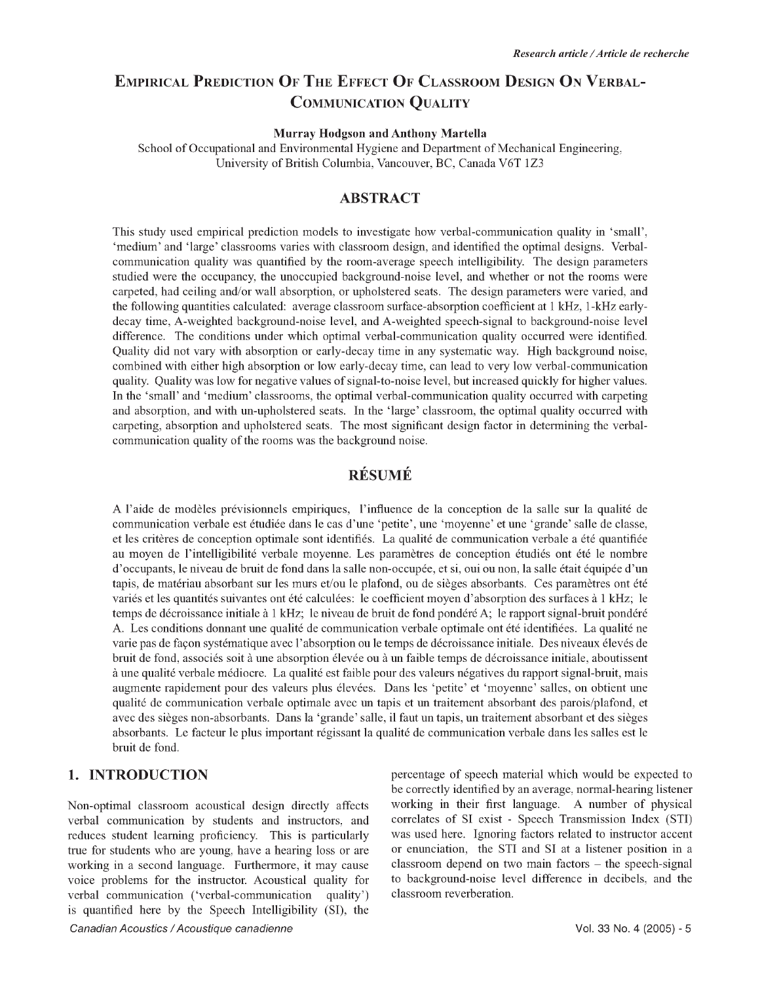## **EMPIRICAL PREDICTION OF THE EFFECT OF CLASSROOM DESIGN ON VERBAL-COMMUNICATION QUALITY**

#### **Murray Hodgson and Anthony Martella**

School of Occupational and Environmental Hygiene and Department of Mechanical Engineering, University of British Columbia, Vancouver, BC, Canada V6T 1Z3

#### **ABSTRACT**

This study used empirical prediction models to investigate how verbal-communication quality in 'small', 'medium' and 'large' classrooms varies with classroom design, and identified the optimal designs. Verbalcommunication quality was quantified by the room-average speech intelligibility. The design parameters studied were the occupancy, the unoccupied background-noise level, and whether or not the rooms were carpeted, had ceiling and/or wall absorption, or upholstered seats. The design parameters were varied, and the following quantities calculated: average classroom surface-absorption coefficient at 1 kHz, 1-kHz earlydecay time, A-weighted background-noise level, and A-weighted speech-signal to background-noise level difference. The conditions under which optimal verbal-communication quality occurred were identified. Quality did not vary with absorption or early-decay time in any systematic way. High background noise, combined with either high absorption or low early-decay time, can lead to very low verbal-communication quality. Quality was low for negative values of signal-to-noise level, but increased quickly for higher values. In the 'small' and 'medium' classrooms, the optimal verbal-communication quality occurred with carpeting and absorption, and with un-upholstered seats. In the 'large' classroom, the optimal quality occurred with carpeting, absorption and upholstered seats. The most significant design factor in determining the verbalcommunication quality of the rooms was the background noise.

### **RÉSUMÉ**

A l'aide de modèles prévisionnels empiriques, l'influence de la conception de la salle sur la qualité de communication verbale est étudiée dans le cas d'une 'petite', une 'moyenne' et une 'grande' salle de classe, et les critères de conception optimale sont identifiés. La qualité de communication verbale a été quantifiée au moyen de l'intelligibilité verbale moyenne. Les paramètres de conception étudiés ont été le nombre d'occupants, le niveau de bruit de fond dans la salle non-occupée, et si, oui ou non, la salle était équipée d'un tapis, de matériau absorbant sur les murs et/ou le plafond, ou de sièges absorbants. Ces paramètres ont été variés et les quantités suivantes ont été calculées: le coefficient moyen d'absorption des surfaces à 1 kHz; le temps de décroissance initiale à 1 kHz; le niveau de bruit de fond pondéré A; le rapport signal-bruit pondéré A. Les conditions donnant une qualité de communication verbale optimale ont été identifiées. La qualité ne varie pas de façon systématique avec l'absorption ou le temps de décroissance initiale. Des niveaux élevés de bruit de fond, associés soit à une absorption élevée ou à un faible temps de décroissance initiale, aboutissent à une qualité verbale médiocre. La qualité est faible pour des valeurs négatives du rapport signal-bruit, mais augmente rapidement pour des valeurs plus élevées. Dans les 'petite' et 'moyenne' salles, on obtient une qualité de communication verbale optimale avec un tapis et un traitement absorbant des parois/plafond, et avec des sièges non-absorbants. Dans la 'grande' salle, il faut un tapis, un traitement absorbant et des sièges absorbants. Le facteur le plus important régissant la qualité de communication verbale dans les salles est le bruit de fond.

#### **1. INTRODUCTION**

Non-optimal classroom acoustical design directly affects verbal communication by students and instructors, and reduces student learning proficiency. This is particularly true for students who are young, have a hearing loss or are working in a second language. Furthermore, it may cause voice problems for the instructor. Acoustical quality for verbal communication ('verbal-communication quality') is quantified here by the Speech Intelligibility (SI), the percentage of speech material which would be expected to be correctly identified by an average, normal-hearing listener working in their first language. A number of physical correlates of SI exist - Speech Transmission Index (STI) was used here. Ignoring factors related to instructor accent or enunciation, the STI and SI at a listener position in a  $classroom depend on two main factors – the speech-signal$ to background-noise level difference in decibels, and the classroom reverberation.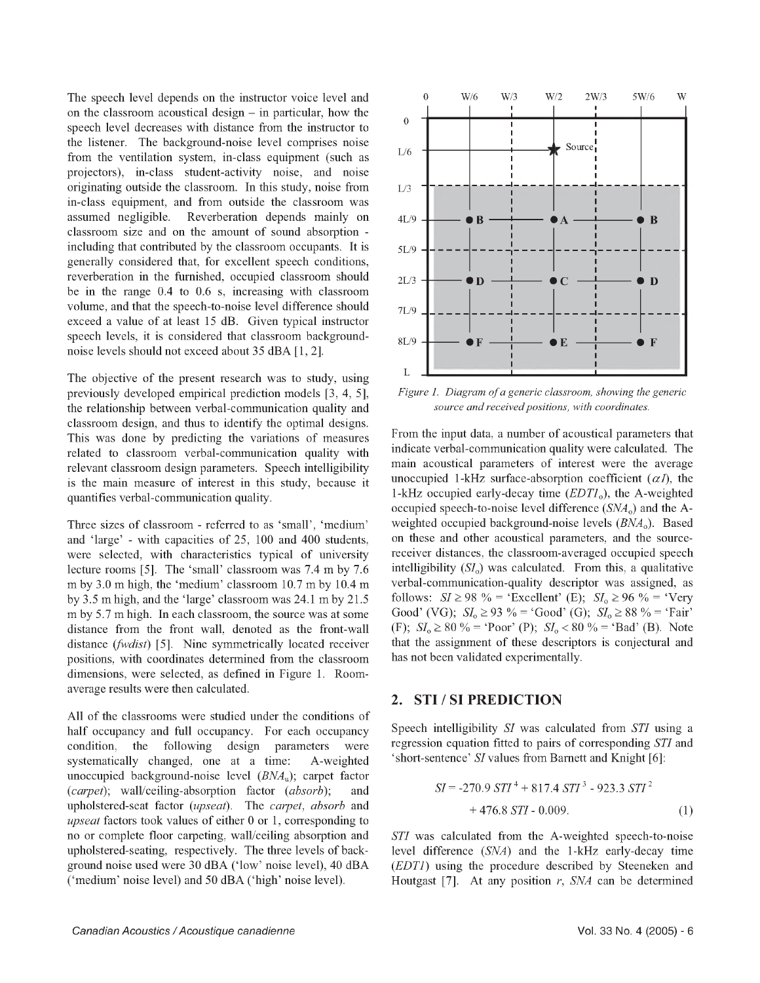The speech level depends on the instructor voice level and on the classroom acoustical design  $-$  in particular, how the speech level decreases with distance from the instructor to the listener. The background-noise level comprises noise from the ventilation system, in-class equipment (such as projectors), in-class student-activity noise, and noise originating outside the classroom. In this study, noise from in-class equipment, and from outside the classroom was assumed negligible. Reverberation depends mainly on classroom size and on the amount of sound absorption including that contributed by the classroom occupants. It is generally considered that, for excellent speech conditions, reverberation in the furnished, occupied classroom should be in the range 0.4 to 0.6 s, increasing with classroom volume, and that the speech-to-noise level difference should exceed a value of at least 15 dB. Given typical instructor speech levels, it is considered that classroom backgroundnoise levels should not exceed about 35 dBA [1, 2].

The objective of the present research was to study, using previously developed empirical prediction models [3, 4, 5], the relationship between verbal-communication quality and classroom design, and thus to identify the optimal designs. This was done by predicting the variations of measures related to classroom verbal-communication quality with relevant classroom design parameters. Speech intelligibility is the main measure of interest in this study, because it quantifies verbal-communication quality.

Three sizes of classroom - referred to as 'small', 'medium' and 'large' - with capacities of 25, 100 and 400 students, were selected, with characteristics typical of university lecture rooms [5]. The 'small' classroom was 7.4 m by 7.6 m by 3.0 m high, the 'medium' classroom 10.7 m by 10.4 m by 3.5 m high, and the 'large' classroom was 24.1 m by 21.5 m by 5.7 m high. In each classroom, the source was at some distance from the front wall, denoted as the front-wall distance *(fwdist*) [5]. Nine symmetrically located receiver positions, with coordinates determined from the classroom dimensions, were selected, as defined in Figure 1. Roomaverage results were then calculated.

All of the classrooms were studied under the conditions of half occupancy and full occupancy. For each occupancy condition, the following design parameters were systematically changed, one at a time: A-weighted unoccupied background-noise level  $(BNA<sub>n</sub>)$ ; carpet factor *(carpet);* wall/ceiling-absorption factor *(absorb);* and upholstered-seat factor *(upseat).* The *carpet, absorb* and *upseat* factors took values of either 0 or 1, corresponding to no or complete floor carpeting, wall/ceiling absorption and upholstered-seating, respectively. The three levels of background noise used were 30 dBA ('low' noise level), 40 dBA ('medium' noise level) and 50 dBA ('high' noise level).



*Figure 1. Diagram of a generic classroom, showing the generic source and received positions, with coordinates.*

From the input data, a number of acoustical parameters that indicate verbal-communication quality were calculated. The main acoustical parameters of interest were the average unoccupied 1-kHz surface-absorption coefficient  $(\alpha I)$ , the 1-kHz occupied early-decay time  $(EDTI_0)$ , the A-weighted occupied speech-to-noise level difference  $(SNA_0)$  and the Aweighted occupied background-noise levels  $(BNA<sub>o</sub>)$ . Based on these and other acoustical parameters, and the sourcereceiver distances, the classroom-averaged occupied speech intelligibility  $(SI_0)$  was calculated. From this, a qualitative verbal-communication-quality descriptor was assigned, as follows:  $SI \ge 98 \%$  = 'Excellent' (E);  $SI_0 \ge 96 \%$  = 'Very Good' (VG);  $SI_0 \ge 93 \% = 'Good'$  (G);  $SI_0 \ge 88 \% = 'Fair'$ (F); *SIo >* 80 % = 'Poor' (P); *SIo <* 80 % = 'Bad' (B). Note that the assignment of these descriptors is conjectural and has not been validated experimentally.

#### **2. STI / SI PREDICTION**

Speech intelligibility *SI* was calculated from *STI* using a regression equation fitted to pairs of corresponding *STI* and 'short-sentence' *SI* values from Barnett and Knight [6]:

$$
SI = -270.9 \, STI^4 + 817.4 \, STI^3 - 923.3 \, STI^2
$$
  
+ 476.8 \, STI - 0.009. (1)

*STI* was calculated from the A-weighted speech-to-noise level difference (*SNA*) and the 1-kHz early-decay time *(EDT1)* using the procedure described by Steeneken and Houtgast [7]. At any position r, *SNA* can be determined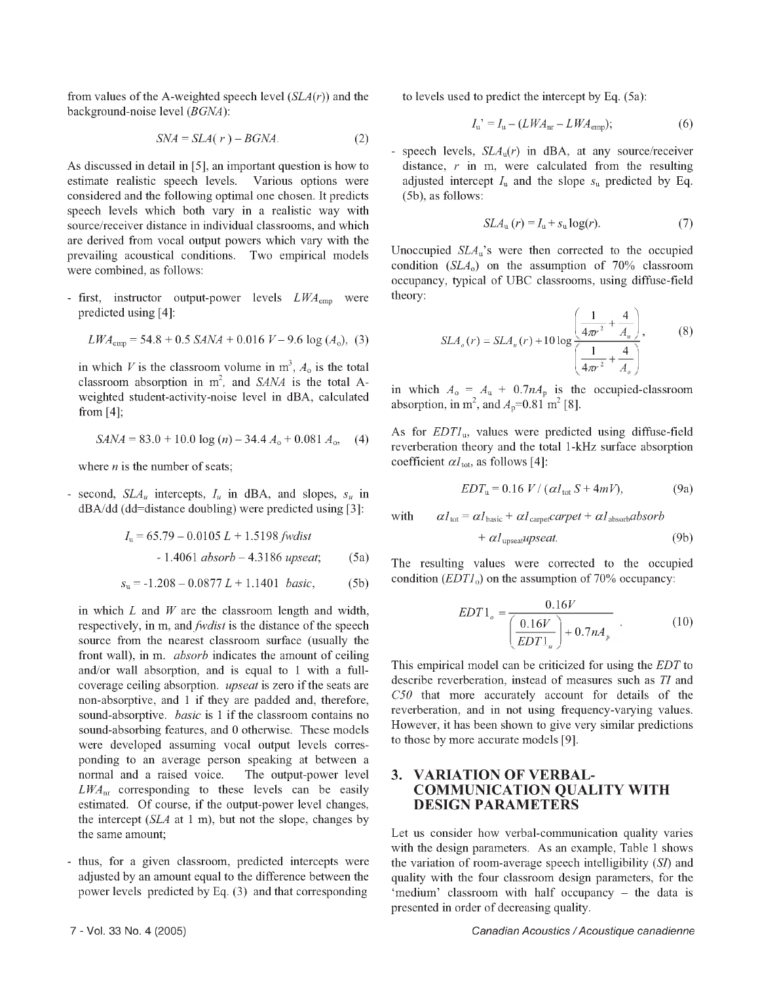from values of the A-weighted speech level *(SLA(r))* and the background-noise level *(BGNA):*

$$
SNA = SLA(r) - BGNA.
$$
 (2)

As discussed in detail in [5], an important question is how to estimate realistic speech levels. Various options were considered and the following optimal one chosen. It predicts speech levels which both vary in a realistic way with source/receiver distance in individual classrooms, and which are derived from vocal output powers which vary with the prevailing acoustical conditions. Two empirical models were combined, as follows:

- first, instructor output-power levels *LWAemp* were predicted using [4]:

$$
LWA_{\text{emp}} = 54.8 + 0.5 \text{ S}AMA + 0.016 \text{ V} - 9.6 \log (A_0), \text{ (3)}
$$

in which *V* is the classroom volume in  $m^3$ ,  $A_0$  is the total classroom absorption in  $m^2$ , and *SANA* is the total Aweighted student-activity-noise level in dBA, calculated from [4];

$$
SANA = 83.0 + 10.0 \log(n) - 34.4 A_0 + 0.081 A_0, \quad (4)
$$

where *n* is the number of seats;

- second, *SLAu* intercepts, *Iu* in dBA, and slopes, *su* in dBA/dd (dd=distance doubling) were predicted using [3]:

$$
I_{\rm u} = 65.79 - 0.0105 \, L + 1.5198 \, \text{fwdist}
$$
\n
$$
- 1.4061 \, \text{absorb} - 4.3186 \, \text{upseat}; \tag{5a}
$$

$$
s_{\rm u} = -1.208 - 0.0877 L + 1.1401 \ \text{basic}, \tag{5b}
$$

in which *L* and *W* are the classroom length and width, respectively, in m, and *fwdist* is the distance of the speech source from the nearest classroom surface (usually the front wall), in m. *absorb* indicates the amount of ceiling and/or wall absorption, and is equal to 1 with a fullcoverage ceiling absorption. *upseat* is zero if the seats are non-absorptive, and 1 if they are padded and, therefore, sound-absorptive. *basic* is 1 if the classroom contains no sound-absorbing features, and 0 otherwise. These models were developed assuming vocal output levels corresponding to an average person speaking at between a normal and a raised voice. The output-power level *LWAnr* corresponding to these levels can be easily estimated. Of course, if the output-power level changes, the intercept *(SLA* at 1 m), but not the slope, changes by the same amount;

- thus, for a given classroom, predicted intercepts were adjusted by an amount equal to the difference between the power levels predicted by Eq. (3) and that corresponding

to levels used to predict the intercept by Eq. (5a):

$$
I_{\mathrm{u}}^{\prime} = I_{\mathrm{u}} - (LWA_{\mathrm{nr}} - LWA_{\mathrm{emp}}); \tag{6}
$$

- speech levels, *SLA*u(*r*) in dBA, at any source/receiver distance, *r* in m, were calculated from the resulting adjusted intercept  $I_u$  and the slope  $s_u$  predicted by Eq. (5b), as follows:

$$
SLAu(r) = Iu + su log(r).
$$
 (7)

Unoccupied  $SLA<sub>u</sub>$ 's were then corrected to the occupied condition  $(SLA<sub>o</sub>)$  on the assumption of 70% classroom occupancy, typical of UBC classrooms, using diffuse-field theory:

$$
SLA_o(r) = SLA_u(r) + 10 \log \left( \frac{1}{4\pi r^2} + \frac{4}{A_u} \right),
$$
 (8)

in which  $A_0 = A_u + 0.7nA_p$  is the occupied-classroom absorption, in  $m^2$ , and  $A_p=0.81$  m<sup>2</sup> [8].

As for  $EDTI<sub>u</sub>$ , values were predicted using diffuse-field reverberation theory and the total 1-kHz surface absorption coefficient  $\alpha l_{\text{tot}}$ , as follows [4]:

$$
EDT_{\rm u} = 0.16 \ V / (\alpha I_{\rm tot} S + 4mV), \tag{9a}
$$

with  $\alpha l_{\text{tot}} = \alpha l_{\text{basic}} + \alpha l_{\text{carpet}} \text{carpet} + \alpha l_{\text{absorb}} \text{absorb}$ 

$$
+ \alpha l_{\text{upseat}} \text{upseat.} \tag{9b}
$$

The resulting values were corrected to the occupied condition  $(EDTI_0)$  on the assumption of 70% occupancy:

$$
EDT1_o = \frac{0.16V}{\left(\frac{0.16V}{EDT1_u}\right) + 0.7nA_p} \tag{10}
$$

This empirical model can be criticized for using the *EDT* to describe reverberation, instead of measures such as *TI* and *C50* that more accurately account for details of the reverberation, and in not using frequency-varying values. However, it has been shown to give very similar predictions to those by more accurate models [9].

#### **3. VARIATION OF VERBAL-COMMUNICATION QUALITY WITH DESIGN PARAMETERS**

Let us consider how verbal-communication quality varies with the design parameters. As an example, Table 1 shows the variation of room-average speech intelligibility (*SI*) and quality with the four classroom design parameters, for the 'medium' classroom with half occupancy - the data is presented in order of decreasing quality.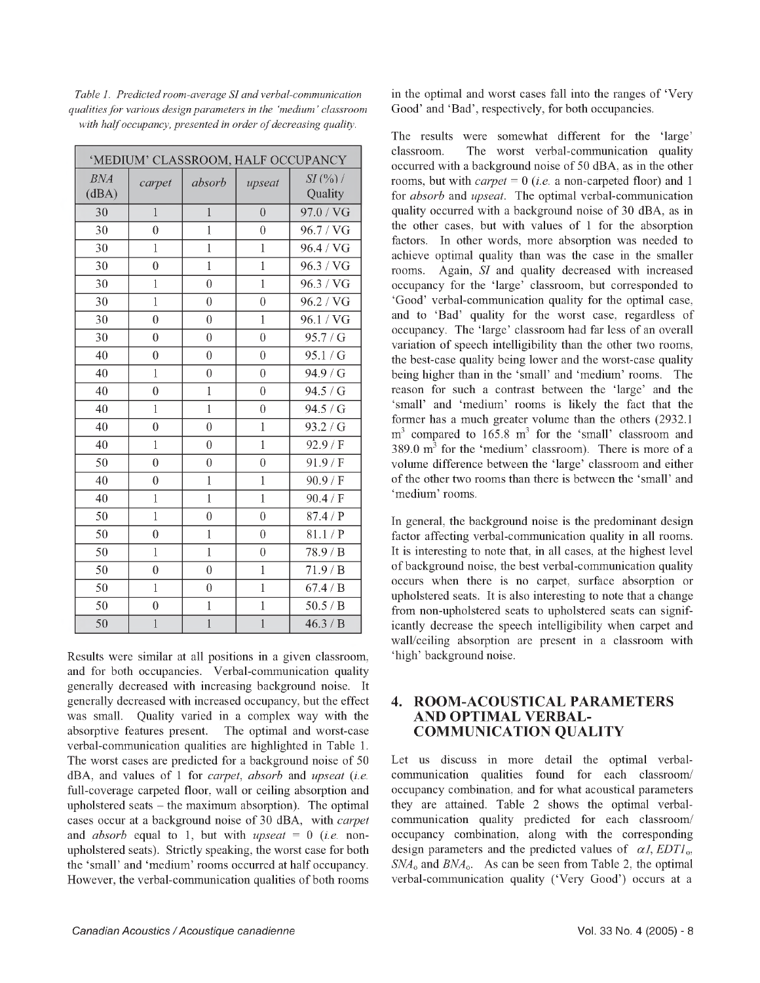| 'MEDIUM' CLASSROOM, HALF OCCUPANCY |                  |                |                |                       |  |
|------------------------------------|------------------|----------------|----------------|-----------------------|--|
| <b>BNA</b><br>(dBA)                | carpet           | absorb         | upseat         | $SI$ (%) /<br>Quality |  |
| 30                                 | $\mathbf{1}$     | $\overline{1}$ | $\overline{0}$ | 97.0 / VG             |  |
| 30                                 | $\boldsymbol{0}$ | $\mathbf{1}$   | $\overline{0}$ | 96.7 / VG             |  |
| 30                                 | $\mathbf{1}$     | $\overline{1}$ | $\mathbf{1}$   | 96.4 / VG             |  |
| 30                                 | $\boldsymbol{0}$ | $\overline{1}$ | $\mathbf{1}$   | $96.3$ /VG            |  |
| 30                                 | $\mathbf{1}$     | $\overline{0}$ | $\overline{1}$ | 96.3 / VG             |  |
| 30                                 | $\overline{1}$   | $\overline{0}$ | $\overline{0}$ | 96.2 / VG             |  |
| 30                                 | $\boldsymbol{0}$ | $\overline{0}$ | $\mathbf{1}$   | 96.1 / VG             |  |
| 30                                 | $\overline{0}$   | $\overline{0}$ | $\overline{0}$ | 95.7/G                |  |
| 40                                 | $\overline{0}$   | $\overline{0}$ | $\overline{0}$ | 95.1 / G              |  |
| 40                                 | $\mathbf{1}$     | $\overline{0}$ | $\overline{0}$ | 94.9 / G              |  |
| 40                                 | $\overline{0}$   | $\overline{1}$ | $\overline{0}$ | 94.5 / G              |  |
| 40                                 | $\mathbf{1}$     | $\overline{1}$ | $\overline{0}$ | 94.5 / G              |  |
| 40                                 | $\overline{0}$   | $\overline{0}$ | $\overline{1}$ | 93.2 / G              |  |
| 40                                 | $\mathbf{1}$     | $\overline{0}$ | $\mathbf{1}$   | 92.9 / F              |  |
| 50                                 | $\overline{0}$   | $\overline{0}$ | $\overline{0}$ | 91.9 / F              |  |
| 40                                 | $\theta$         | $\mathbf{1}$   | $\mathbf{1}$   | 90.9 / F              |  |
| 40                                 | $\mathbf{1}$     | $\overline{1}$ | $\overline{1}$ | 90.4 / F              |  |
| 50                                 | $\mathbf{1}$     | $\overline{0}$ | $\overline{0}$ | 87.4/P                |  |
| 50                                 | $\overline{0}$   | $\mathbf{1}$   | $\overline{0}$ | 81.1/P                |  |
| 50                                 | $\mathbf{1}$     | $\mathbf{1}$   | $\overline{0}$ | 78.9/B                |  |
| 50                                 | $\overline{0}$   | $\overline{0}$ | $\overline{1}$ | 71.9/B                |  |
| 50                                 | $\mathbf{1}$     | $\overline{0}$ | $\mathbf{1}$   | 67.4 / B              |  |
| 50                                 | $\boldsymbol{0}$ | $\mathbf{1}$   | $\mathbf{1}$   | 50.5 / B              |  |
| 50                                 | $\overline{1}$   | $\overline{1}$ | $\overline{1}$ | 46.3 / B              |  |

*Table 1. Predicted room-average SI and verbal-communication qualities for various design parameters in the 'medium' classroom* with half occupancy, presented in order of decreasing quality.

Results were similar at all positions in a given classroom, and for both occupancies. Verbal-communication quality generally decreased with increasing background noise. It generally decreased with increased occupancy, but the effect was small. Quality varied in a complex way with the absorptive features present. The optimal and worst-case verbal-communication qualities are highlighted in Table 1. The worst cases are predicted for a background noise of 50 dBA, and values of 1 for *carpet, absorb* and *upseat (i.e.* full-coverage carpeted floor, wall or ceiling absorption and upholstered seats  $-$  the maximum absorption). The optimal cases occur at a background noise of 30 dBA, with *carpet* and *absorb* equal to 1, but with *upseat* = 0 *(i.e.* nonupholstered seats). Strictly speaking, the worst case for both the 'small' and 'medium' rooms occurred at half occupancy. However, the verbal-communication qualities of both rooms in the optimal and worst cases fall into the ranges of 'Very Good' and 'Bad', respectively, for both occupancies.

The results were somewhat different for the 'large' classroom. The worst verbal-communication quality occurred with a background noise of 50 dBA, as in the other rooms, but with *carpet* = 0 *(i.e.* a non-carpeted floor) and 1 for *absorb* and *upseat.* The optimal verbal-communication quality occurred with a background noise of 30 dBA, as in the other cases, but with values of 1 for the absorption factors. In other words, more absorption was needed to achieve optimal quality than was the case in the smaller rooms. Again, *SI* and quality decreased with increased occupancy for the 'large' classroom, but corresponded to 'Good' verbal-communication quality for the optimal case, and to 'Bad' quality for the worst case, regardless of occupancy. The 'large' classroom had far less of an overall variation of speech intelligibility than the other two rooms, the best-case quality being lower and the worst-case quality being higher than in the 'small' and 'medium' rooms. The reason for such a contrast between the 'large' and the 'small' and 'medium' rooms is likely the fact that the former has a much greater volume than the others (2932.1  $m<sup>3</sup>$  compared to 165.8  $m<sup>3</sup>$  for the 'small' classroom and  $389.0 \text{ m}^3$  for the 'medium' classroom). There is more of a volume difference between the 'large' classroom and either of the other two rooms than there is between the 'small' and 'medium' rooms.

In general, the background noise is the predominant design factor affecting verbal-communication quality in all rooms. It is interesting to note that, in all cases, at the highest level of background noise, the best verbal-communication quality occurs when there is no carpet, surface absorption or upholstered seats. It is also interesting to note that a change from non-upholstered seats to upholstered seats can significantly decrease the speech intelligibility when carpet and wall/ceiling absorption are present in a classroom with 'high' background noise.

#### **4. ROOM-ACOUSTICAL PARAMETERS AND OPTIMAL VERBAL-COMMUNICATION QUALITY**

Let us discuss in more detail the optimal verbalcommunication qualities found for each classroom/ occupancy combination, and for what acoustical parameters they are attained. Table 2 shows the optimal verbalcommunication quality predicted for each classroom/ occupancy combination, along with the corresponding design parameters and the predicted values of  $\alpha$ *l, EDT1*<sub>o</sub>. *SNA*<sub>o</sub> and *BNA*<sub>o</sub>. As can be seen from Table 2, the optimal verbal-communication quality ('Very Good') occurs at a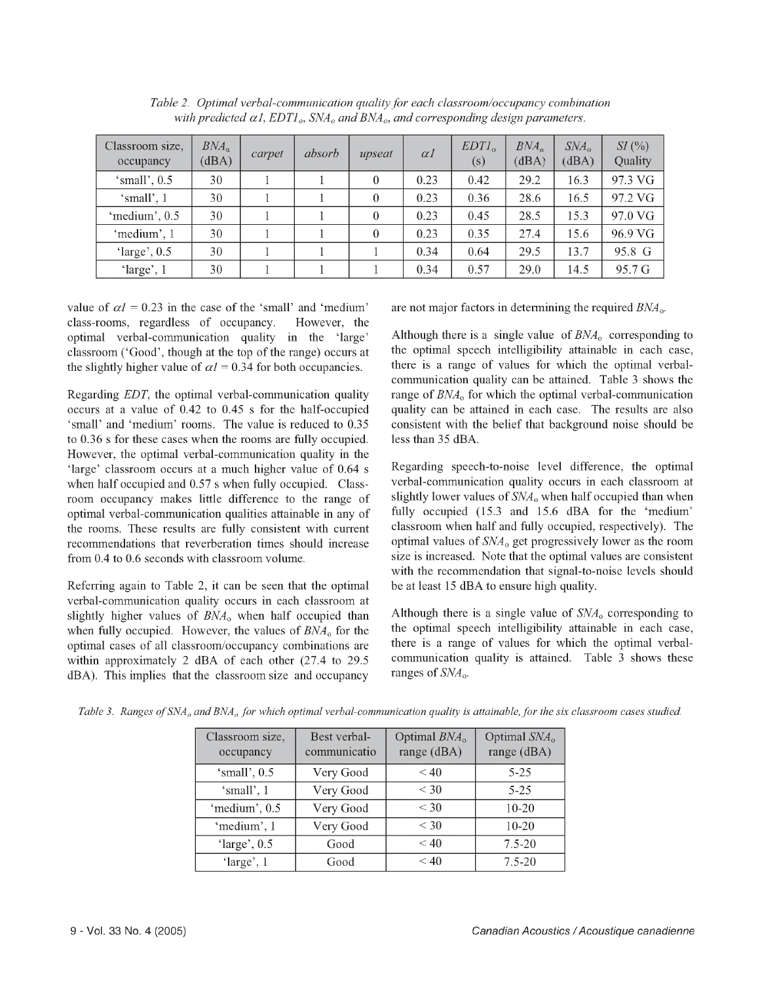| Classroom size,<br>occupancy | $BNA_{\text{u}}$<br>(dBA) | carpet | absorb | upseat   | $\alpha$ <sub>1</sub> | EDTI <sub>0</sub><br>(s) | $BNA_{\alpha}$<br>(dBA) | $S\!M_{\rm o}$<br>(dBA) | SI(%)<br>Quality |
|------------------------------|---------------------------|--------|--------|----------|-----------------------|--------------------------|-------------------------|-------------------------|------------------|
| 'small', $0.5$               | 30                        |        |        | $\theta$ | 0.23                  | 0.42                     | 29.2                    | 16.3                    | 97.3 VG          |
| 'small', 1                   | 30                        |        |        | $\theta$ | 0.23                  | 0.36                     | 28.6                    | 16.5                    | 97.2 VG          |
| 'medium', 0.5                | 30                        |        |        | $\theta$ | 0.23                  | 0.45                     | 28.5                    | 15.3                    | 97.0 VG          |
| 'medium', 1                  | 30                        |        |        | $\Omega$ | 0.23                  | 0.35                     | 27.4                    | 15.6                    | 96.9 VG          |
| ' $large$ ', 0.5             | 30                        |        |        |          | 0.34                  | 0.64                     | 29.5                    | 13.7                    | 95.8 G           |
| 'large', 1                   | 30                        |        |        |          | 0.34                  | 0.57                     | 29.0                    | 14.5                    | 95.7 G           |

*Table 2. Optimal verbal-communication quality for each classroom/occupancy combination* with predicted  $\alpha$ 1,  $EDTI_o$ ,  $SNA_o$  and  $BNA_o$ , and corresponding design parameters.

value of  $\alpha l = 0.23$  in the case of the 'small' and 'medium' class-rooms, regardless of occupancy. However, the optimal verbal-communication quality in the 'large' classroom ('Good', though at the top of the range) occurs at the slightly higher value of  $\alpha l = 0.34$  for both occupancies.

Regarding *EDT,* the optimal verbal-communication quality occurs at a value of 0.42 to 0.45 s for the half-occupied 'small' and 'medium' rooms. The value is reduced to 0.35 to 0.36 s for these cases when the rooms are fully occupied. However, the optimal verbal-communication quality in the 'large' classroom occurs at a much higher value of 0.64 s when half occupied and 0.57 s when fully occupied. Classroom occupancy makes little difference to the range of optimal verbal-communication qualities attainable in any of the rooms. These results are fully consistent with current recommendations that reverberation times should increase from 0.4 to 0.6 seconds with classroom volume.

Referring again to Table 2, it can be seen that the optimal verbal-communication quality occurs in each classroom at slightly higher values of  $BNA<sub>o</sub>$  when half occupied than when fully occupied. However, the values of  $BNA<sub>o</sub>$  for the optimal cases of all classroom/occupancy combinations are within approximately 2 dBA of each other (27.4 to 29.5 dBA). This implies that the classroom size and occupancy are not major factors in determining the required *BNAo.*

Although there is a single value of  $BNA<sub>o</sub>$  corresponding to the optimal speech intelligibility attainable in each case, there is a range of values for which the optimal verbalcommunication quality can be attained. Table 3 shows the range of  $BNA<sub>o</sub>$  for which the optimal verbal-communication quality can be attained in each case. The results are also consistent with the belief that background noise should be less than 35 dBA.

Regarding speech-to-noise level difference, the optimal verbal-communication quality occurs in each classroom at slightly lower values of  $SNA<sub>o</sub>$  when half occupied than when fully occupied (15.3 and 15.6 dBA for the 'medium' classroom when half and fully occupied, respectively). The optimal values of *SNAo* get progressively lower as the room size is increased. Note that the optimal values are consistent with the recommendation that signal-to-noise levels should be at least 15 dBA to ensure high quality.

Although there is a single value of *SNAo* corresponding to the optimal speech intelligibility attainable in each case, there is a range of values for which the optimal verbalcommunication quality is attained. Table 3 shows these ranges of *SNAo.*

| Classroom size,<br>occupancy | Best verbal-<br>communicatio | Optimal $BNAo$<br>range (dBA) | Optimal SNA <sub>o</sub><br>range (dBA) |
|------------------------------|------------------------------|-------------------------------|-----------------------------------------|
| 'small', 0.5                 | Very Good                    | < 40                          | 5-25                                    |
| 'small', 1                   | Very Good                    | $<$ 30                        | $5 - 25$                                |
| 'medium', 0.5                | Very Good                    | < 30                          | 10-20                                   |
| 'medium', 1                  | Very Good                    | $<$ 30                        | $10 - 20$                               |
| ' $large$ ', 0.5             | Good                         | < 40                          | $7.5 - 20$                              |
| 'large', 1                   | Good                         | $\leq 40$                     | $7.5 - 20$                              |

*Table 3. Ranges of SNA<sub>o</sub> and BNA<sub>o</sub> for which optimal verbal-communication quality is attainable, for the six classroom cases studied.*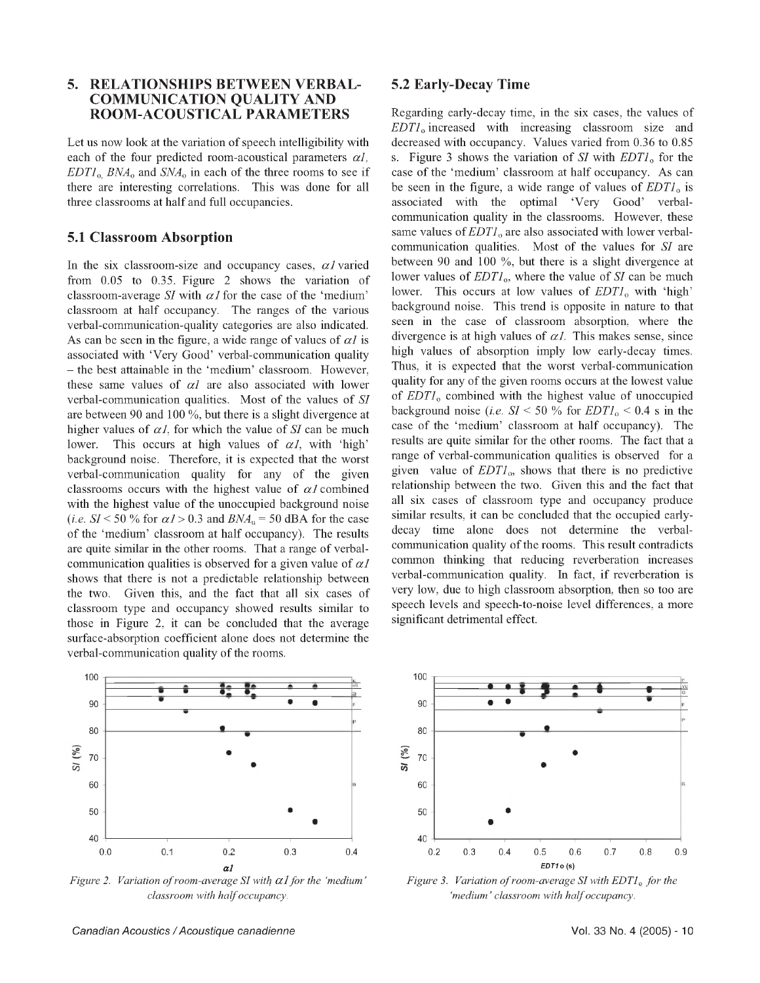#### **5. RELATIONSHIPS BETWEEN VERBAL-COMMUNICATION QUALITY AND ROOM-ACOUSTICAL PARAMETERS**

Let us now look at the variation of speech intelligibility with each of the four predicted room-acoustical parameters *a1, EDT1* o, *BNAo* and *SNAo* in each of the three rooms to see if there are interesting correlations. This was done for all three classrooms at half and full occupancies.

#### **5.1 Classroom Absorption**

In the six classroom-size and occupancy cases,  $\alpha$ *l* varied from 0.05 to 0.35. Figure 2 shows the variation of classroom-average *SI* with  $\alpha$ *I* for the case of the 'medium' classroom at half occupancy. The ranges of the various verbal-communication-quality categories are also indicated. As can be seen in the figure, a wide range of values of  $\alpha l$  is associated with 'Very Good' verbal-communication quality - the best attainable in the 'medium' classroom. However, these same values of *a1* are also associated with lower verbal-communication qualities. Most of the values of *SI* are between 90 and 100 %, but there is a slight divergence at higher values of  $\alpha$ *l*, for which the value of *SI* can be much lower. This occurs at high values of  $\alpha l$ , with 'high' background noise. Therefore, it is expected that the worst verbal-communication quality for any of the given classrooms occurs with the highest value of  $\alpha$ *l* combined with the highest value of the unoccupied background noise (*i.e.*  $SI < 50$  % for  $\alpha I > 0.3$  and  $BNA<sub>u</sub> = 50$  dBA for the case of the 'medium' classroom at half occupancy). The results are quite similar in the other rooms. That a range of verbalcommunication qualities is observed for a given value of  $\alpha$ *l* shows that there is not a predictable relationship between the two. Given this, and the fact that all six cases of classroom type and occupancy showed results similar to those in Figure 2, it can be concluded that the average surface-absorption coefficient alone does not determine the verbal-communication quality of the rooms.



*Figure 2. Variation of room-average SI with*  $\alpha$ *1 for the 'medium' classroom with half occupancy.*

#### **5.2 Early-Decay Time**

Regarding early-decay time, in the six cases, the values of *EDT1o* increased with increasing classroom size and decreased with occupancy. Values varied from 0.36 to 0.85 s. Figure 3 shows the variation of *SI* with *EDTI*<sub>o</sub> for the case of the 'medium' classroom at half occupancy. As can be seen in the figure, a wide range of values of *EDTI*<sub>0</sub> is associated with the optimal 'Very Good' verbalcommunication quality in the classrooms. However, these same values of *EDT1*<sub>o</sub> are also associated with lower verbalcommunication qualities. Most of the values for *SI* are between 90 and 100 %, but there is a slight divergence at lower values of *EDT1*<sub>0</sub>, where the value of *SI* can be much lower. This occurs at low values of *EDT1*<sub>0</sub> with 'high' background noise. This trend is opposite in nature to that seen in the case of classroom absorption, where the divergence is at high values of  $\alpha l$ . This makes sense, since high values of absorption imply low early-decay times. Thus, it is expected that the worst verbal-communication quality for any of the given rooms occurs at the lowest value of *EDT1o* combined with the highest value of unoccupied background noise (*i.e.*  $SI < 50$  % for  $EDTI_0 < 0.4$  s in the case of the 'medium' classroom at half occupancy). The results are quite similar for the other rooms. The fact that a range of verbal-communication qualities is observed for a given value of *EDT1o,* shows that there is no predictive relationship between the two. Given this and the fact that all six cases of classroom type and occupancy produce similar results, it can be concluded that the occupied earlydecay time alone does not determine the verbalcommunication quality of the rooms. This result contradicts common thinking that reducing reverberation increases verbal-communication quality. In fact, if reverberation is very low, due to high classroom absorption, then so too are speech levels and speech-to-noise level differences, a more significant detrimental effect.



*Figure 3. Variation of room-average SI with EDT1*<sup>o</sup> for the *'medium' classroom with half occupancy.*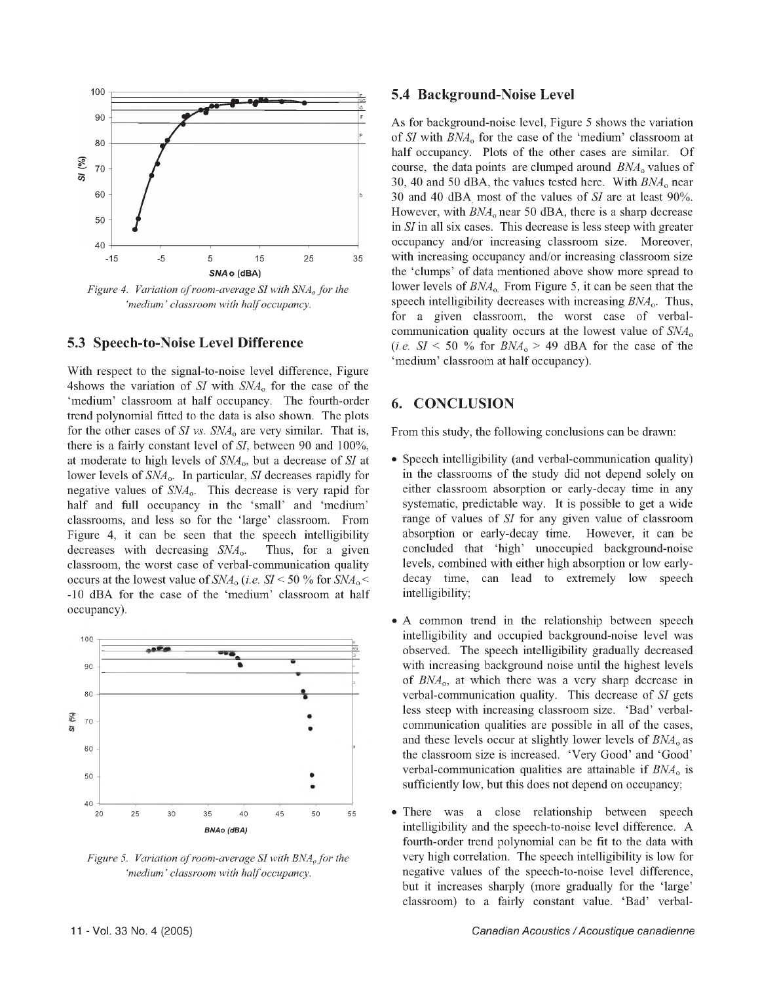

*Figure 4. Variation of room-average SI with SNA<sub>o</sub> for the 'medium' classroom with half occupancy.*

#### **5.3 Speech-to-Noise Level Difference**

With respect to the signal-to-noise level difference, Figure 4shows the variation of *SI* with *SNAo* for the case of the 'medium' classroom at half occupancy. The fourth-order trend polynomial fitted to the data is also shown. The plots for the other cases of *SI vs. SNA*o are very similar. That is, there is a fairly constant level of *SI,* between 90 and 100%, at moderate to high levels of *SNAo,* but a decrease of *SI* at lower levels of *SNAo.* In particular, *SI* decreases rapidly for negative values of *SNA*o. This decrease is very rapid for half and full occupancy in the 'small' and 'medium' classrooms, and less so for the 'large' classroom. From Figure 4, it can be seen that the speech intelligibility decreases with decreasing *SNA*o. Thus, for a given classroom, the worst case of verbal-communication quality occurs at the lowest value of *SNAo (i.e. SI* < 50 % for *SNAo* < -10 dBA for the case of the 'medium' classroom at half occupancy).



*Figure 5. Variation of room-average SI with BNA<sub>o</sub> for the 'medium' classroom with half occupancy.*

#### **5.4 Background-Noise Level**

As for background-noise level, Figure 5 shows the variation of *SI* with *BNAo* for the case of the 'medium' classroom at half occupancy. Plots of the other cases are similar. Of course, the data points are clumped around *BNA*<sub>o</sub> values of 30, 40 and 50 dBA, the values tested here. With *BNAo* near 30 and 40 dBA, most of the values of *SI* are at least 90%. However, with  $BNA_0$  near 50 dBA, there is a sharp decrease in *SI* in all six cases. This decrease is less steep with greater occupancy and/or increasing classroom size. Moreover, with increasing occupancy and/or increasing classroom size the 'clumps' of data mentioned above show more spread to lower levels of  $BNA<sub>o</sub>$ . From Figure 5, it can be seen that the speech intelligibility decreases with increasing *BNA*o. Thus, for a given classroom, the worst case of verbalcommunication quality occurs at the lowest value of *SNA*o (*i.e.*  $SI < 50$  % for  $BNA_0 > 49$  dBA for the case of the 'medium' classroom at half occupancy).

#### **6. CONCLUSION**

From this study, the following conclusions can be drawn:

- Speech intelligibility (and verbal-communication quality) in the classrooms of the study did not depend solely on either classroom absorption or early-decay time in any systematic, predictable way. It is possible to get a wide range of values of *SI* for any given value of classroom absorption or early-decay time. However, it can be concluded that 'high' unoccupied background-noise levels, combined with either high absorption or low earlydecay time, can lead to extremely low speech intelligibility;
- A common trend in the relationship between speech intelligibility and occupied background-noise level was observed. The speech intelligibility gradually decreased with increasing background noise until the highest levels of *BNA*o, at which there was a very sharp decrease in verbal-communication quality. This decrease of *SI* gets less steep with increasing classroom size. 'Bad' verbalcommunication qualities are possible in all of the cases, and these levels occur at slightly lower levels of  $BNA<sub>o</sub>$  as the classroom size is increased. 'Very Good' and 'Good' verbal-communication qualities are attainable if *BNA*o is sufficiently low, but this does not depend on occupancy;
- There was a close relationship between speech intelligibility and the speech-to-noise level difference. A fourth-order trend polynomial can be fit to the data with very high correlation. The speech intelligibility is low for negative values of the speech-to-noise level difference, but it increases sharply (more gradually for the 'large' classroom) to a fairly constant value. 'Bad' verbal-